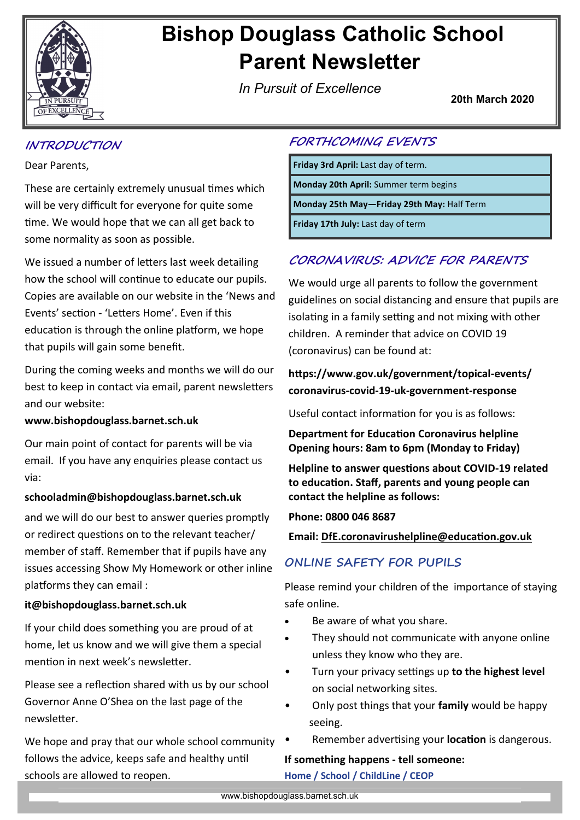

# **Bishop Douglass Catholic School Parent Newsletter**

*In Pursuit of Excellence*

**20th March 2020**

# **INTRODUCTION**

Dear Parents,

These are certainly extremely unusual times which will be very difficult for everyone for quite some time. We would hope that we can all get back to some normality as soon as possible.

We issued a number of letters last week detailing how the school will continue to educate our pupils. Copies are available on our website in the 'News and Events' section - 'Letters Home'. Even if this education is through the online platform, we hope that pupils will gain some benefit.

During the coming weeks and months we will do our best to keep in contact via email, parent newsletters and our website:

## **www.bishopdouglass.barnet.sch.uk**

Our main point of contact for parents will be via email. If you have any enquiries please contact us via:

## **schooladmin@bishopdouglass.barnet.sch.uk**

and we will do our best to answer queries promptly or redirect questions on to the relevant teacher/ member of staff. Remember that if pupils have any issues accessing Show My Homework or other inline platforms they can email :

## **it@bishopdouglass.barnet.sch.uk**

If your child does something you are proud of at home, let us know and we will give them a special mention in next week's newsletter.

Please see a reflection shared with us by our school Governor Anne O'Shea on the last page of the newsletter.

We hope and pray that our whole school community follows the advice, keeps safe and healthy until schools are allowed to reopen.

## **FORTHCOMING EVENTS**

**Friday 3rd April:** Last day of term.

**Monday 20th April:** Summer term begins

**Monday 25th May—Friday 29th May:** Half Term

**Friday 17th July:** Last day of term

# **CORONAVIRUS: ADVICE FOR PARENTS**

We would urge all parents to follow the government guidelines on social distancing and ensure that pupils are isolating in a family setting and not mixing with other children. A reminder that advice on COVID 19 (coronavirus) can be found at:

# **https://www.gov.uk/government/topical-events/ coronavirus-covid-19-uk-government-response**

Useful contact information for you is as follows:

**Department for Education Coronavirus helpline Opening hours: 8am to 6pm (Monday to Friday)**

**Helpline to answer questions about COVID-19 related to education. Staff, parents and young people can contact the helpline as follows:**

**Phone: 0800 046 8687**

**Email: [DfE.coronavirushelpline@education.gov.uk](mailto:DfE.coronavirushelpline@education.gov.uk)**

# **ONLINE SAFETY FOR PUPILS**

Please remind your children of the importance of staying safe online.

- Be aware of what you share.
- They should not communicate with anyone online unless they know who they are.
- Turn your privacy settings up **to the highest level**  on social networking sites.
- Only post things that your **family** would be happy seeing.
- Remember advertising your **location** is dangerous.

## **If something happens - tell someone:**

**Home / School / ChildLine / CEOP**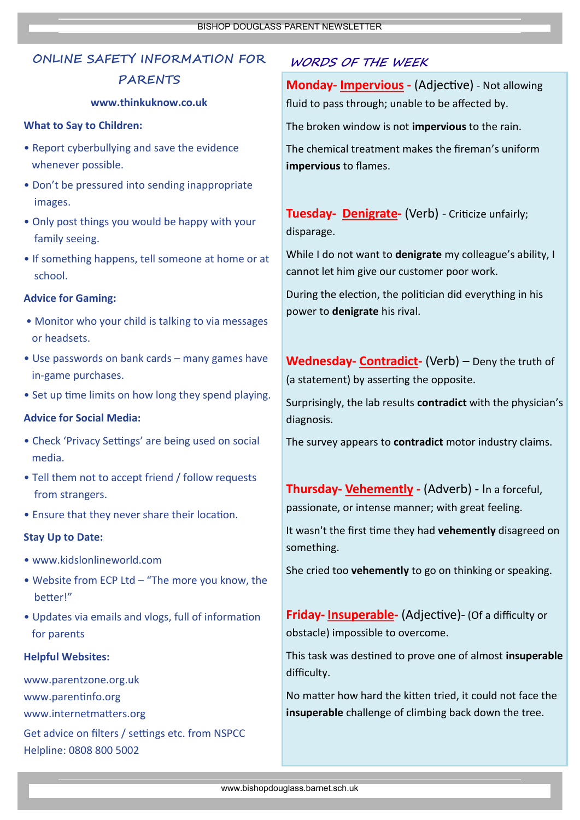# **ONLINE SAFETY INFORMATION FOR**

## **PARENTS**

#### **www.thinkuknow.co.uk**

#### **What to Say to Children:**

- Report cyberbullying and save the evidence whenever possible.
- Don't be pressured into sending inappropriate images.
- Only post things you would be happy with your family seeing.
- If something happens, tell someone at home or at school.

#### **Advice for Gaming:**

- Monitor who your child is talking to via messages or headsets.
- Use passwords on bank cards many games have in-game purchases.
- Set up time limits on how long they spend playing.

#### **Advice for Social Media:**

- Check 'Privacy Settings' are being used on social media.
- Tell them not to accept friend / follow requests from strangers.
- Ensure that they never share their location.

#### **Stay Up to Date:**

- www.kidslonlineworld.com
- Website from ECP Ltd "The more you know, the better!"
- Updates via emails and vlogs, full of information for parents

#### **Helpful Websites:**

www.parentzone.org.uk www.parentinfo.org www.internetmatters.org

Get advice on filters / settings etc. from NSPCC Helpline: 0808 800 5002

# **WORDS OF THE WEEK**

**Monday- Impervious -** (Adjective) - Not allowing fluid to pass through; unable to be affected by.

The broken window is not **impervious** to the rain.

The chemical treatment makes the fireman's uniform **impervious** to flames.

## **Tuesday- Denigrate-** (Verb) - Criticize unfairly; disparage.

While I do not want to **denigrate** my colleague's ability, I cannot let him give our customer poor work.

During the election, the politician did everything in his power to **denigrate** his rival.

**Wednesday- Contradict-** (Verb) – Deny the truth of (a statement) by asserting the opposite.

Surprisingly, the lab results **contradict** with the physician's diagnosis.

The survey appears to **contradict** motor industry claims.

**Thursday- Vehemently** *-* (Adverb) - In a forceful, passionate, or intense manner; with great feeling.

It wasn't the first time they had **vehemently** disagreed on something.

She cried too **vehemently** to go on thinking or speaking.

**Friday- Insuperable-** (Adjective)- (Of a difficulty or obstacle) impossible to overcome.

This task was destined to prove one of almost **insuperable**  difficulty.

No matter how hard the kitten tried, it could not face the **insuperable** challenge of climbing back down the tree.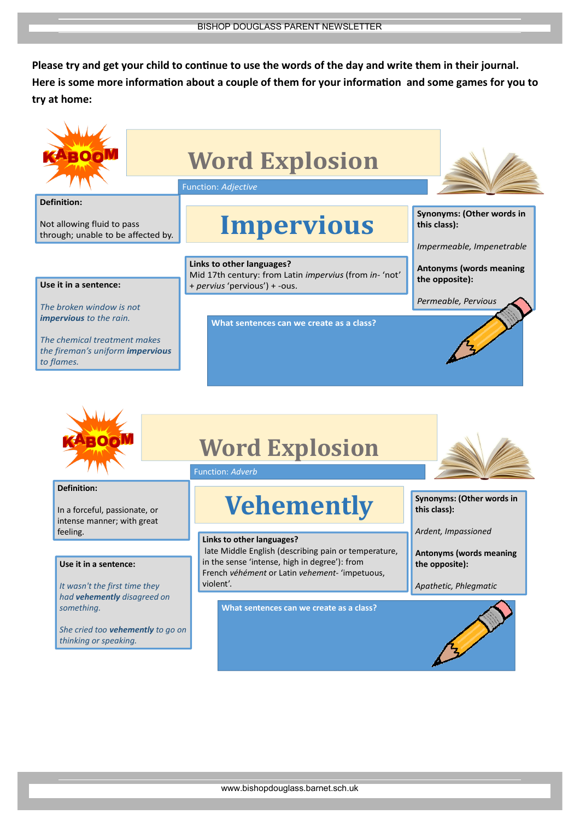**Please try and get your child to continue to use the words of the day and write them in their journal. Here is some more information about a couple of them for your information and some games for you to try at home:**